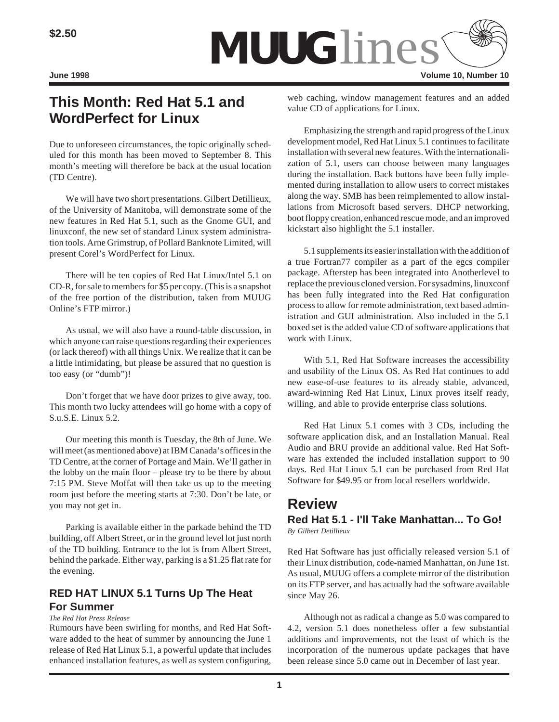

# **This Month: Red Hat 5.1 and WordPerfect for Linux**

Due to unforeseen circumstances, the topic originally scheduled for this month has been moved to September 8. This month's meeting will therefore be back at the usual location (TD Centre).

We will have two short presentations. Gilbert Detillieux, of the University of Manitoba, will demonstrate some of the new features in Red Hat 5.1, such as the Gnome GUI, and linuxconf, the new set of standard Linux system administration tools. Arne Grimstrup, of Pollard Banknote Limited, will present Corel's WordPerfect for Linux.

There will be ten copies of Red Hat Linux/Intel 5.1 on CD-R, for sale to members for \$5 per copy. (This is a snapshot of the free portion of the distribution, taken from MUUG Online's FTP mirror.)

As usual, we will also have a round-table discussion, in which anyone can raise questions regarding their experiences (or lack thereof) with all things Unix. We realize that it can be a little intimidating, but please be assured that no question is too easy (or "dumb")!

Don't forget that we have door prizes to give away, too. This month two lucky attendees will go home with a copy of S.u.S.E. Linux 5.2.

Our meeting this month is Tuesday, the 8th of June. We will meet (as mentioned above) at IBM Canada's offices in the TD Centre, at the corner of Portage and Main. We'll gather in the lobby on the main floor – please try to be there by about 7:15 PM. Steve Moffat will then take us up to the meeting room just before the meeting starts at 7:30. Don't be late, or you may not get in.

Parking is available either in the parkade behind the TD building, off Albert Street, or in the ground level lot just north of the TD building. Entrance to the lot is from Albert Street, behind the parkade. Either way, parking is a \$1.25 flat rate for the evening.

## **RED HAT LINUX 5.1 Turns Up The Heat For Summer**

### *The Red Hat Press Release*

Rumours have been swirling for months, and Red Hat Software added to the heat of summer by announcing the June 1 release of Red Hat Linux 5.1, a powerful update that includes enhanced installation features, as well as system configuring, web caching, window management features and an added value CD of applications for Linux.

Emphasizing the strength and rapid progress of the Linux development model, Red Hat Linux 5.1 continues to facilitate installation with several new features. With the internationalization of 5.1, users can choose between many languages during the installation. Back buttons have been fully implemented during installation to allow users to correct mistakes along the way. SMB has been reimplemented to allow installations from Microsoft based servers. DHCP networking, boot floppy creation, enhanced rescue mode, and an improved kickstart also highlight the 5.1 installer.

5.1 supplements its easier installation with the addition of a true Fortran77 compiler as a part of the egcs compiler package. Afterstep has been integrated into Anotherlevel to replace the previous cloned version. For sysadmins, linuxconf has been fully integrated into the Red Hat configuration process to allow for remote administration, text based administration and GUI administration. Also included in the 5.1 boxed set is the added value CD of software applications that work with Linux.

With 5.1, Red Hat Software increases the accessibility and usability of the Linux OS. As Red Hat continues to add new ease-of-use features to its already stable, advanced, award-winning Red Hat Linux, Linux proves itself ready, willing, and able to provide enterprise class solutions.

Red Hat Linux 5.1 comes with 3 CDs, including the software application disk, and an Installation Manual. Real Audio and BRU provide an additional value. Red Hat Software has extended the included installation support to 90 days. Red Hat Linux 5.1 can be purchased from Red Hat Software for \$49.95 or from local resellers worldwide.

# **Review Red Hat 5.1 - I'll Take Manhattan... To Go!**

*By Gilbert Detillieux*

Red Hat Software has just officially released version 5.1 of their Linux distribution, code-named Manhattan, on June 1st. As usual, MUUG offers a complete mirror of the distribution on its FTP server, and has actually had the software available since May 26.

Although not as radical a change as 5.0 was compared to 4.2, version 5.1 does nonetheless offer a few substantial additions and improvements, not the least of which is the incorporation of the numerous update packages that have been release since 5.0 came out in December of last year.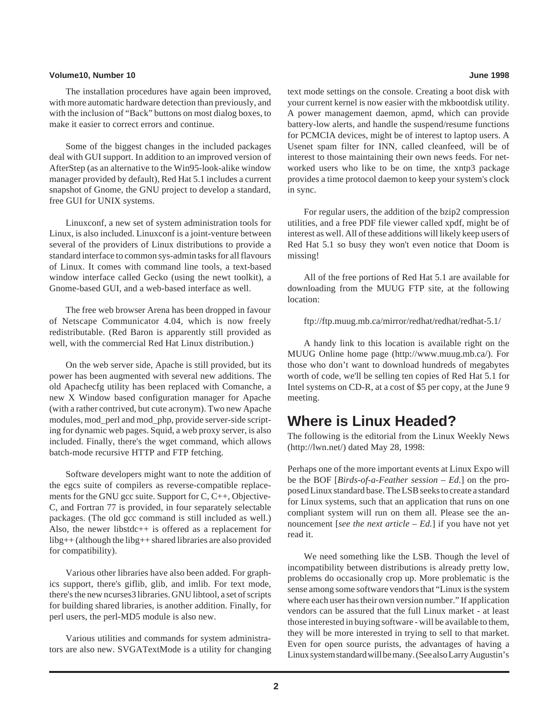### **Volume10, Number 10 June 1998**

The installation procedures have again been improved, with more automatic hardware detection than previously, and with the inclusion of "Back" buttons on most dialog boxes, to make it easier to correct errors and continue.

Some of the biggest changes in the included packages deal with GUI support. In addition to an improved version of AfterStep (as an alternative to the Win95-look-alike window manager provided by default), Red Hat 5.1 includes a current snapshot of Gnome, the GNU project to develop a standard, free GUI for UNIX systems.

Linuxconf, a new set of system administration tools for Linux, is also included. Linuxconf is a joint-venture between several of the providers of Linux distributions to provide a standard interface to common sys-admin tasks for all flavours of Linux. It comes with command line tools, a text-based window interface called Gecko (using the newt toolkit), a Gnome-based GUI, and a web-based interface as well.

The free web browser Arena has been dropped in favour of Netscape Communicator 4.04, which is now freely redistributable. (Red Baron is apparently still provided as well, with the commercial Red Hat Linux distribution.)

On the web server side, Apache is still provided, but its power has been augmented with several new additions. The old Apachecfg utility has been replaced with Comanche, a new X Window based configuration manager for Apache (with a rather contrived, but cute acronym). Two new Apache modules, mod\_perl and mod\_php, provide server-side scripting for dynamic web pages. Squid, a web proxy server, is also included. Finally, there's the wget command, which allows batch-mode recursive HTTP and FTP fetching.

Software developers might want to note the addition of the egcs suite of compilers as reverse-compatible replacements for the GNU gcc suite. Support for C, C++, Objective-C, and Fortran 77 is provided, in four separately selectable packages. (The old gcc command is still included as well.) Also, the newer libstdc++ is offered as a replacement for libg++ (although the libg++ shared libraries are also provided for compatibility).

Various other libraries have also been added. For graphics support, there's giflib, glib, and imlib. For text mode, there's the new ncurses3 libraries. GNU libtool, a set of scripts for building shared libraries, is another addition. Finally, for perl users, the perl-MD5 module is also new.

Various utilities and commands for system administrators are also new. SVGATextMode is a utility for changing

text mode settings on the console. Creating a boot disk with your current kernel is now easier with the mkbootdisk utility. A power management daemon, apmd, which can provide battery-low alerts, and handle the suspend/resume functions for PCMCIA devices, might be of interest to laptop users. A Usenet spam filter for INN, called cleanfeed, will be of interest to those maintaining their own news feeds. For networked users who like to be on time, the xntp3 package provides a time protocol daemon to keep your system's clock in sync.

For regular users, the addition of the bzip2 compression utilities, and a free PDF file viewer called xpdf, might be of interest as well. All of these additions will likely keep users of Red Hat 5.1 so busy they won't even notice that Doom is missing!

All of the free portions of Red Hat 5.1 are available for downloading from the MUUG FTP site, at the following location:

ftp://ftp.muug.mb.ca/mirror/redhat/redhat/redhat-5.1/

A handy link to this location is available right on the MUUG Online home page (http://www.muug.mb.ca/). For those who don't want to download hundreds of megabytes worth of code, we'll be selling ten copies of Red Hat 5.1 for Intel systems on CD-R, at a cost of \$5 per copy, at the June 9 meeting.

## **Where is Linux Headed?**

The following is the editorial from the Linux Weekly News (http://lwn.net/) dated May 28, 1998:

Perhaps one of the more important events at Linux Expo will be the BOF [*Birds-of-a-Feather session – Ed.*] on the proposed Linux standard base. The LSB seeks to create a standard for Linux systems, such that an application that runs on one compliant system will run on them all. Please see the announcement [*see the next article – Ed.*] if you have not yet read it.

We need something like the LSB. Though the level of incompatibility between distributions is already pretty low, problems do occasionally crop up. More problematic is the sense among some software vendors that "Linux is the system where each user has their own version number." If application vendors can be assured that the full Linux market - at least those interested in buying software - will be available to them, they will be more interested in trying to sell to that market. Even for open source purists, the advantages of having a Linux system standard will be many. (See also Larry Augustin's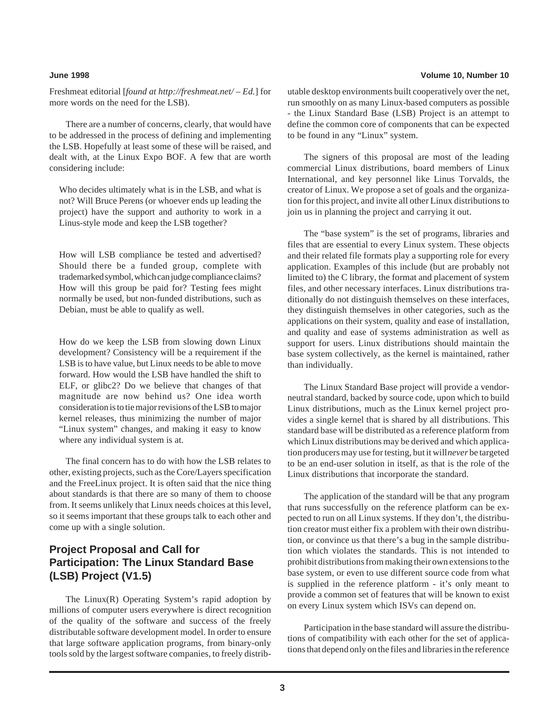Freshmeat editorial [*found at http://freshmeat.net/ – Ed.*] for more words on the need for the LSB).

There are a number of concerns, clearly, that would have to be addressed in the process of defining and implementing the LSB. Hopefully at least some of these will be raised, and dealt with, at the Linux Expo BOF. A few that are worth considering include:

Who decides ultimately what is in the LSB, and what is not? Will Bruce Perens (or whoever ends up leading the project) have the support and authority to work in a Linus-style mode and keep the LSB together?

How will LSB compliance be tested and advertised? Should there be a funded group, complete with trademarked symbol, which can judge compliance claims? How will this group be paid for? Testing fees might normally be used, but non-funded distributions, such as Debian, must be able to qualify as well.

How do we keep the LSB from slowing down Linux development? Consistency will be a requirement if the LSB is to have value, but Linux needs to be able to move forward. How would the LSB have handled the shift to ELF, or glibc2? Do we believe that changes of that magnitude are now behind us? One idea worth consideration is to tie major revisions of the LSB to major kernel releases, thus minimizing the number of major "Linux system" changes, and making it easy to know where any individual system is at.

The final concern has to do with how the LSB relates to other, existing projects, such as the Core/Layers specification and the FreeLinux project. It is often said that the nice thing about standards is that there are so many of them to choose from. It seems unlikely that Linux needs choices at this level, so it seems important that these groups talk to each other and come up with a single solution.

## **Project Proposal and Call for Participation: The Linux Standard Base (LSB) Project (V1.5)**

The Linux(R) Operating System's rapid adoption by millions of computer users everywhere is direct recognition of the quality of the software and success of the freely distributable software development model. In order to ensure that large software application programs, from binary-only tools sold by the largest software companies, to freely distrib-

### **June 1998 Volume 10, Number 10**

utable desktop environments built cooperatively over the net, run smoothly on as many Linux-based computers as possible - the Linux Standard Base (LSB) Project is an attempt to define the common core of components that can be expected to be found in any "Linux" system.

The signers of this proposal are most of the leading commercial Linux distributions, board members of Linux International, and key personnel like Linus Torvalds, the creator of Linux. We propose a set of goals and the organization for this project, and invite all other Linux distributions to join us in planning the project and carrying it out.

The "base system" is the set of programs, libraries and files that are essential to every Linux system. These objects and their related file formats play a supporting role for every application. Examples of this include (but are probably not limited to) the C library, the format and placement of system files, and other necessary interfaces. Linux distributions traditionally do not distinguish themselves on these interfaces, they distinguish themselves in other categories, such as the applications on their system, quality and ease of installation, and quality and ease of systems administration as well as support for users. Linux distributions should maintain the base system collectively, as the kernel is maintained, rather than individually.

The Linux Standard Base project will provide a vendorneutral standard, backed by source code, upon which to build Linux distributions, much as the Linux kernel project provides a single kernel that is shared by all distributions. This standard base will be distributed as a reference platform from which Linux distributions may be derived and which application producers may use for testing, but it will *never* be targeted to be an end-user solution in itself, as that is the role of the Linux distributions that incorporate the standard.

The application of the standard will be that any program that runs successfully on the reference platform can be expected to run on all Linux systems. If they don't, the distribution creator must either fix a problem with their own distribution, or convince us that there's a bug in the sample distribution which violates the standards. This is not intended to prohibit distributions from making their own extensions to the base system, or even to use different source code from what is supplied in the reference platform - it's only meant to provide a common set of features that will be known to exist on every Linux system which ISVs can depend on.

Participation in the base standard will assure the distributions of compatibility with each other for the set of applications that depend only on the files and libraries in the reference